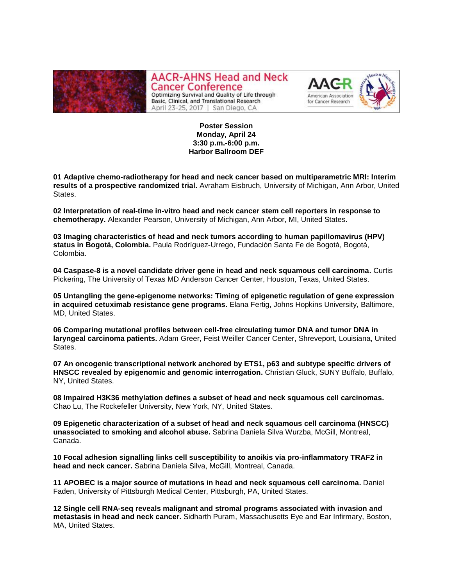

**AACR-AHNS Head and Neck Cancer Conference** Optimizing Survival and Quality of Life through Basic, Clinical, and Translational Research April 23-25, 2017 | San Diego, CA



**Poster Session Monday, April 24 3:30 p.m.-6:00 p.m. Harbor Ballroom DEF**

**01 Adaptive chemo-radiotherapy for head and neck cancer based on multiparametric MRI: Interim results of a prospective randomized trial.** Avraham Eisbruch, University of Michigan, Ann Arbor, United States.

**02 Interpretation of real-time in-vitro head and neck cancer stem cell reporters in response to chemotherapy.** Alexander Pearson, University of Michigan, Ann Arbor, MI, United States.

**03 Imaging characteristics of head and neck tumors according to human papillomavirus (HPV) status in Bogotá, Colombia.** Paula Rodríguez-Urrego, Fundación Santa Fe de Bogotá, Bogotá, Colombia.

**04 Caspase-8 is a novel candidate driver gene in head and neck squamous cell carcinoma.** Curtis Pickering, The University of Texas MD Anderson Cancer Center, Houston, Texas, United States.

**05 Untangling the gene-epigenome networks: Timing of epigenetic regulation of gene expression in acquired cetuximab resistance gene programs.** Elana Fertig, Johns Hopkins University, Baltimore, MD, United States.

**06 Comparing mutational profiles between cell-free circulating tumor DNA and tumor DNA in laryngeal carcinoma patients.** Adam Greer, Feist Weiller Cancer Center, Shreveport, Louisiana, United States.

**07 An oncogenic transcriptional network anchored by ETS1, p63 and subtype specific drivers of HNSCC revealed by epigenomic and genomic interrogation.** Christian Gluck, SUNY Buffalo, Buffalo, NY, United States.

**08 Impaired H3K36 methylation defines a subset of head and neck squamous cell carcinomas.**  Chao Lu, The Rockefeller University, New York, NY, United States.

**09 Epigenetic characterization of a subset of head and neck squamous cell carcinoma (HNSCC) unassociated to smoking and alcohol abuse.** Sabrina Daniela Silva Wurzba, McGill, Montreal, Canada.

**10 Focal adhesion signalling links cell susceptibility to anoikis via pro-inflammatory TRAF2 in head and neck cancer.** Sabrina Daniela Silva, McGill, Montreal, Canada.

**11 APOBEC is a major source of mutations in head and neck squamous cell carcinoma.** Daniel Faden, University of Pittsburgh Medical Center, Pittsburgh, PA, United States.

**12 Single cell RNA-seq reveals malignant and stromal programs associated with invasion and metastasis in head and neck cancer.** Sidharth Puram, Massachusetts Eye and Ear Infirmary, Boston, MA, United States.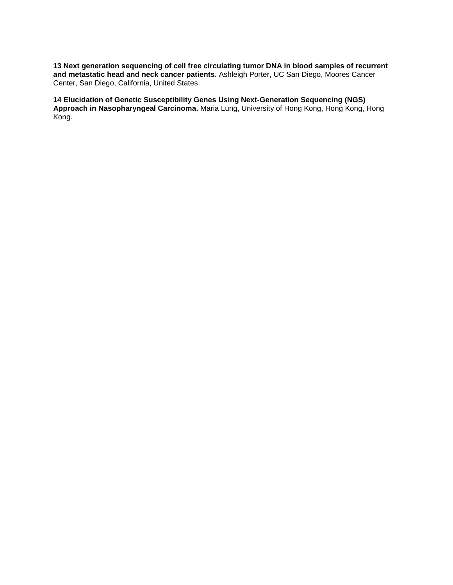**13 Next generation sequencing of cell free circulating tumor DNA in blood samples of recurrent and metastatic head and neck cancer patients.** Ashleigh Porter, UC San Diego, Moores Cancer Center, San Diego, California, United States.

**14 Elucidation of Genetic Susceptibility Genes Using Next-Generation Sequencing (NGS) Approach in Nasopharyngeal Carcinoma.** Maria Lung, University of Hong Kong, Hong Kong, Hong Kong.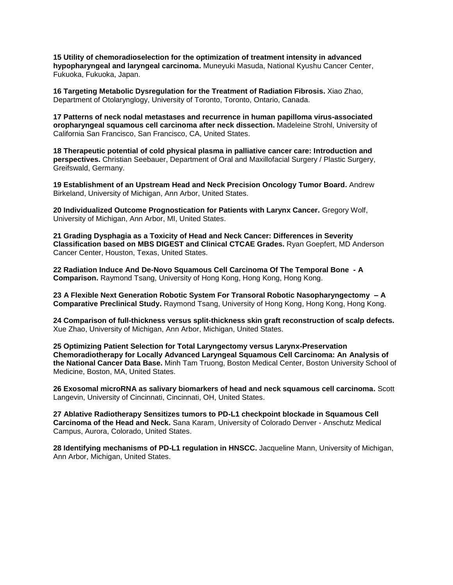**15 Utility of chemoradioselection for the optimization of treatment intensity in advanced hypopharyngeal and laryngeal carcinoma.** Muneyuki Masuda, National Kyushu Cancer Center, Fukuoka, Fukuoka, Japan.

**16 Targeting Metabolic Dysregulation for the Treatment of Radiation Fibrosis.** Xiao Zhao, Department of Otolarynglogy, University of Toronto, Toronto, Ontario, Canada.

**17 Patterns of neck nodal metastases and recurrence in human papilloma virus-associated oropharyngeal squamous cell carcinoma after neck dissection.** Madeleine Strohl, University of California San Francisco, San Francisco, CA, United States.

**18 Therapeutic potential of cold physical plasma in palliative cancer care: Introduction and perspectives.** Christian Seebauer, Department of Oral and Maxillofacial Surgery / Plastic Surgery, Greifswald, Germany.

**19 Establishment of an Upstream Head and Neck Precision Oncology Tumor Board.** Andrew Birkeland, University of Michigan, Ann Arbor, United States.

**20 Individualized Outcome Prognostication for Patients with Larynx Cancer.** Gregory Wolf, University of Michigan, Ann Arbor, MI, United States.

**21 Grading Dysphagia as a Toxicity of Head and Neck Cancer: Differences in Severity Classification based on MBS DIGEST and Clinical CTCAE Grades.** Ryan Goepfert, MD Anderson Cancer Center, Houston, Texas, United States.

**22 Radiation Induce And De-Novo Squamous Cell Carcinoma Of The Temporal Bone - A Comparison.** Raymond Tsang, University of Hong Kong, Hong Kong, Hong Kong.

**23 A Flexible Next Generation Robotic System For Transoral Robotic Nasopharyngectomy – A Comparative Preclinical Study.** Raymond Tsang, University of Hong Kong, Hong Kong, Hong Kong.

**24 Comparison of full-thickness versus split-thickness skin graft reconstruction of scalp defects.**  Xue Zhao, University of Michigan, Ann Arbor, Michigan, United States.

**25 Optimizing Patient Selection for Total Laryngectomy versus Larynx-Preservation Chemoradiotherapy for Locally Advanced Laryngeal Squamous Cell Carcinoma: An Analysis of the National Cancer Data Base.** Minh Tam Truong, Boston Medical Center, Boston University School of Medicine, Boston, MA, United States.

**26 Exosomal microRNA as salivary biomarkers of head and neck squamous cell carcinoma.** Scott Langevin, University of Cincinnati, Cincinnati, OH, United States.

**27 Ablative Radiotherapy Sensitizes tumors to PD-L1 checkpoint blockade in Squamous Cell Carcinoma of the Head and Neck.** Sana Karam, University of Colorado Denver - Anschutz Medical Campus, Aurora, Colorado, United States.

**28 Identifying mechanisms of PD-L1 regulation in HNSCC.** Jacqueline Mann, University of Michigan, Ann Arbor, Michigan, United States.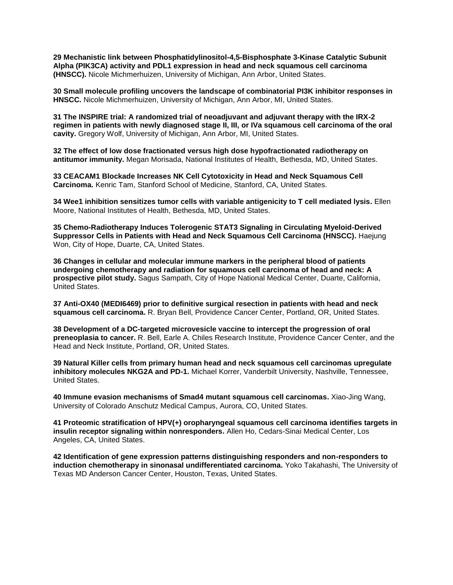**29 Mechanistic link between Phosphatidylinositol-4,5-Bisphosphate 3-Kinase Catalytic Subunit Alpha (PIK3CA) activity and PDL1 expression in head and neck squamous cell carcinoma (HNSCC).** Nicole Michmerhuizen, University of Michigan, Ann Arbor, United States.

**30 Small molecule profiling uncovers the landscape of combinatorial PI3K inhibitor responses in HNSCC.** Nicole Michmerhuizen, University of Michigan, Ann Arbor, MI, United States.

**31 The INSPIRE trial: A randomized trial of neoadjuvant and adjuvant therapy with the IRX-2 regimen in patients with newly diagnosed stage II, III, or IVa squamous cell carcinoma of the oral cavity.** Gregory Wolf, University of Michigan, Ann Arbor, MI, United States.

**32 The effect of low dose fractionated versus high dose hypofractionated radiotherapy on antitumor immunity.** Megan Morisada, National Institutes of Health, Bethesda, MD, United States.

**33 CEACAM1 Blockade Increases NK Cell Cytotoxicity in Head and Neck Squamous Cell Carcinoma.** Kenric Tam, Stanford School of Medicine, Stanford, CA, United States.

**34 Wee1 inhibition sensitizes tumor cells with variable antigenicity to T cell mediated lysis.** Ellen Moore, National Institutes of Health, Bethesda, MD, United States.

**35 Chemo-Radiotherapy Induces Tolerogenic STAT3 Signaling in Circulating Myeloid-Derived Suppressor Cells in Patients with Head and Neck Squamous Cell Carcinoma (HNSCC).** Haejung Won, City of Hope, Duarte, CA, United States.

**36 Changes in cellular and molecular immune markers in the peripheral blood of patients undergoing chemotherapy and radiation for squamous cell carcinoma of head and neck: A prospective pilot study.** Sagus Sampath, City of Hope National Medical Center, Duarte, California, United States.

**37 Anti-OX40 (MEDI6469) prior to definitive surgical resection in patients with head and neck squamous cell carcinoma.** R. Bryan Bell, Providence Cancer Center, Portland, OR, United States.

**38 Development of a DC-targeted microvesicle vaccine to intercept the progression of oral preneoplasia to cancer.** R. Bell, Earle A. Chiles Research Institute, Providence Cancer Center, and the Head and Neck Institute, Portland, OR, United States.

**39 Natural Killer cells from primary human head and neck squamous cell carcinomas upregulate inhibitory molecules NKG2A and PD-1.** Michael Korrer, Vanderbilt University, Nashville, Tennessee, United States.

**40 Immune evasion mechanisms of Smad4 mutant squamous cell carcinomas.** Xiao-Jing Wang, University of Colorado Anschutz Medical Campus, Aurora, CO, United States.

**41 Proteomic stratification of HPV(+) oropharyngeal squamous cell carcinoma identifies targets in insulin receptor signaling within nonresponders.** Allen Ho, Cedars-Sinai Medical Center, Los Angeles, CA, United States.

**42 Identification of gene expression patterns distinguishing responders and non-responders to induction chemotherapy in sinonasal undifferentiated carcinoma.** Yoko Takahashi, The University of Texas MD Anderson Cancer Center, Houston, Texas, United States.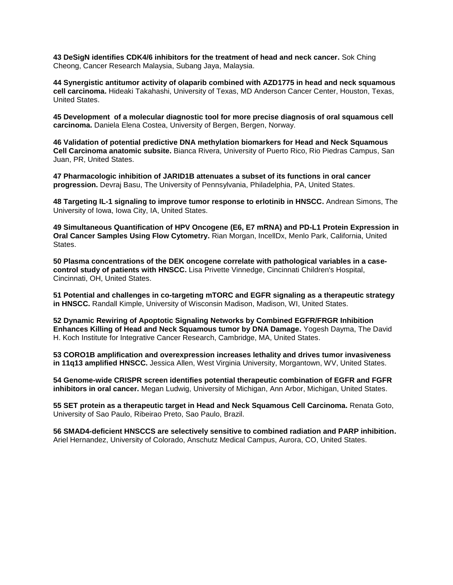**43 DeSigN identifies CDK4/6 inhibitors for the treatment of head and neck cancer.** Sok Ching Cheong, Cancer Research Malaysia, Subang Jaya, Malaysia.

**44 Synergistic antitumor activity of olaparib combined with AZD1775 in head and neck squamous cell carcinoma.** Hideaki Takahashi, University of Texas, MD Anderson Cancer Center, Houston, Texas, United States.

**45 Development of a molecular diagnostic tool for more precise diagnosis of oral squamous cell carcinoma.** Daniela Elena Costea, University of Bergen, Bergen, Norway.

**46 Validation of potential predictive DNA methylation biomarkers for Head and Neck Squamous Cell Carcinoma anatomic subsite.** Bianca Rivera, University of Puerto Rico, Rio Piedras Campus, San Juan, PR, United States.

**47 Pharmacologic inhibition of JARID1B attenuates a subset of its functions in oral cancer progression.** Devraj Basu, The University of Pennsylvania, Philadelphia, PA, United States.

**48 Targeting IL-1 signaling to improve tumor response to erlotinib in HNSCC.** Andrean Simons, The University of Iowa, Iowa City, IA, United States.

**49 Simultaneous Quantification of HPV Oncogene (E6, E7 mRNA) and PD-L1 Protein Expression in Oral Cancer Samples Using Flow Cytometry.** Rian Morgan, IncellDx, Menlo Park, California, United States.

**50 Plasma concentrations of the DEK oncogene correlate with pathological variables in a casecontrol study of patients with HNSCC.** Lisa Privette Vinnedge, Cincinnati Children's Hospital, Cincinnati, OH, United States.

**51 Potential and challenges in co-targeting mTORC and EGFR signaling as a therapeutic strategy in HNSCC.** Randall Kimple, University of Wisconsin Madison, Madison, WI, United States.

**52 Dynamic Rewiring of Apoptotic Signaling Networks by Combined EGFR/FRGR Inhibition Enhances Killing of Head and Neck Squamous tumor by DNA Damage.** Yogesh Dayma, The David H. Koch Institute for Integrative Cancer Research, Cambridge, MA, United States.

**53 CORO1B amplification and overexpression increases lethality and drives tumor invasiveness in 11q13 amplified HNSCC.** Jessica Allen, West Virginia University, Morgantown, WV, United States.

**54 Genome-wide CRISPR screen identifies potential therapeutic combination of EGFR and FGFR inhibitors in oral cancer.** Megan Ludwig, University of Michigan, Ann Arbor, Michigan, United States.

**55 SET protein as a therapeutic target in Head and Neck Squamous Cell Carcinoma.** Renata Goto, University of Sao Paulo, Ribeirao Preto, Sao Paulo, Brazil.

**56 SMAD4-deficient HNSCCS are selectively sensitive to combined radiation and PARP inhibition.**  Ariel Hernandez, University of Colorado, Anschutz Medical Campus, Aurora, CO, United States.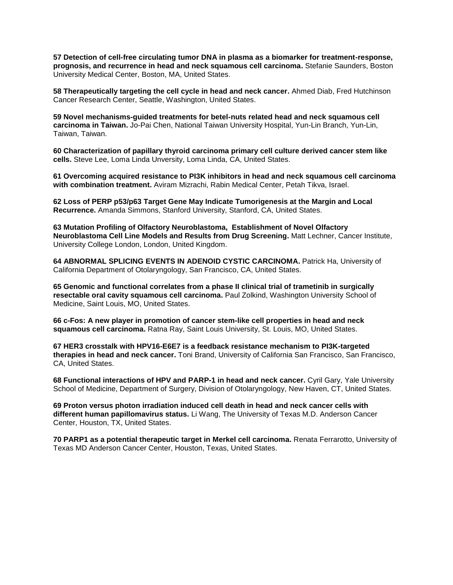**57 Detection of cell-free circulating tumor DNA in plasma as a biomarker for treatment-response, prognosis, and recurrence in head and neck squamous cell carcinoma.** Stefanie Saunders, Boston University Medical Center, Boston, MA, United States.

**58 Therapeutically targeting the cell cycle in head and neck cancer.** Ahmed Diab, Fred Hutchinson Cancer Research Center, Seattle, Washington, United States.

**59 Novel mechanisms-guided treatments for betel-nuts related head and neck squamous cell carcinoma in Taiwan.** Jo-Pai Chen, National Taiwan University Hospital, Yun-Lin Branch, Yun-Lin, Taiwan, Taiwan.

**60 Characterization of papillary thyroid carcinoma primary cell culture derived cancer stem like cells.** Steve Lee, Loma Linda Unversity, Loma Linda, CA, United States.

**61 Overcoming acquired resistance to PI3K inhibitors in head and neck squamous cell carcinoma with combination treatment.** Aviram Mizrachi, Rabin Medical Center, Petah Tikva, Israel.

**62 Loss of PERP p53/p63 Target Gene May Indicate Tumorigenesis at the Margin and Local Recurrence.** Amanda Simmons, Stanford University, Stanford, CA, United States.

**63 Mutation Profiling of Olfactory Neuroblastoma, Establishment of Novel Olfactory Neuroblastoma Cell Line Models and Results from Drug Screening.** Matt Lechner, Cancer Institute, University College London, London, United Kingdom.

**64 ABNORMAL SPLICING EVENTS IN ADENOID CYSTIC CARCINOMA.** Patrick Ha, University of California Department of Otolaryngology, San Francisco, CA, United States.

**65 Genomic and functional correlates from a phase II clinical trial of trametinib in surgically resectable oral cavity squamous cell carcinoma.** Paul Zolkind, Washington University School of Medicine, Saint Louis, MO, United States.

**66 c-Fos: A new player in promotion of cancer stem-like cell properties in head and neck squamous cell carcinoma.** Ratna Ray, Saint Louis University, St. Louis, MO, United States.

**67 HER3 crosstalk with HPV16-E6E7 is a feedback resistance mechanism to PI3K-targeted therapies in head and neck cancer.** Toni Brand, University of California San Francisco, San Francisco, CA, United States.

**68 Functional interactions of HPV and PARP-1 in head and neck cancer.** Cyril Gary, Yale University School of Medicine, Department of Surgery, Division of Otolaryngology, New Haven, CT, United States.

**69 Proton versus photon irradiation induced cell death in head and neck cancer cells with different human papillomavirus status.** Li Wang, The University of Texas M.D. Anderson Cancer Center, Houston, TX, United States.

**70 PARP1 as a potential therapeutic target in Merkel cell carcinoma.** Renata Ferrarotto, University of Texas MD Anderson Cancer Center, Houston, Texas, United States.